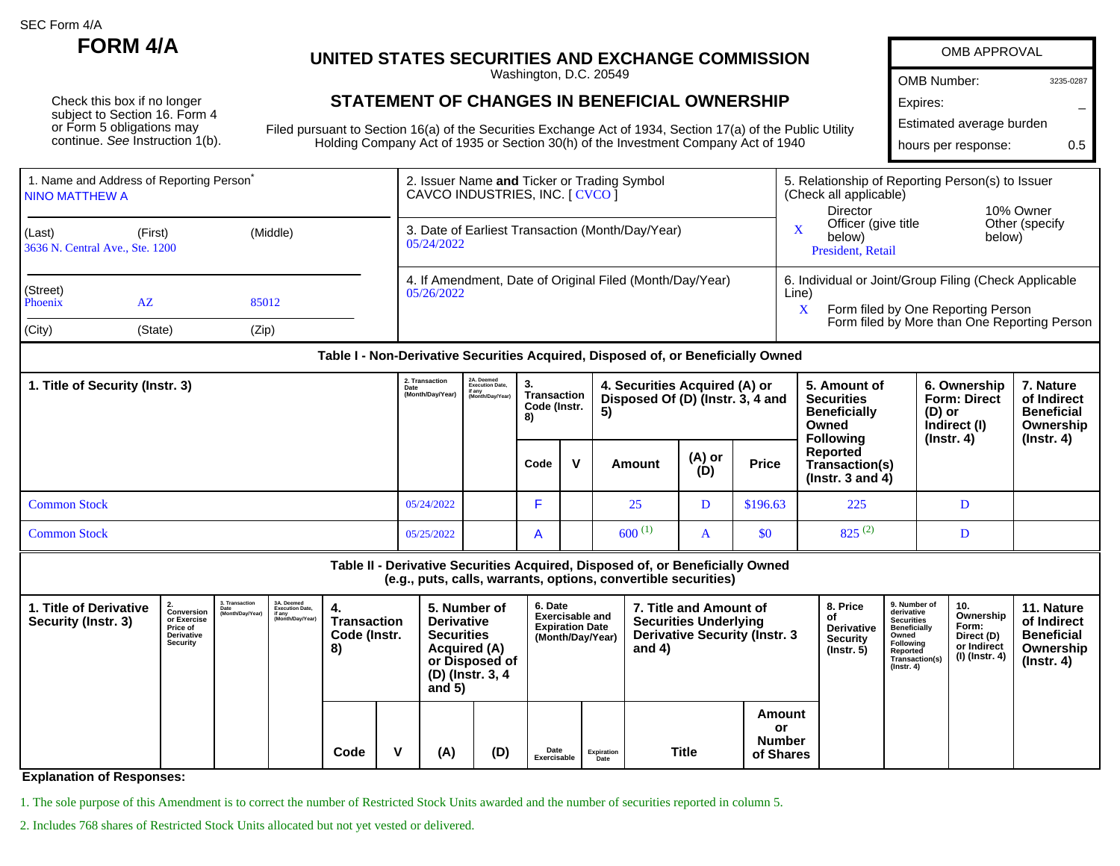SEC Form 4/A

Check this box if no longer subject to Section 16. Form 4 or Form 5 obligations may continue. See Instruction 1(b).

## **FORM 4/A UNITED STATES SECURITIES AND EXCHANGE COMMISSION**

Washington, D.C. 20549

## **STATEMENT OF CHANGES IN BENEFICIAL OWNERSHIP**

Filed pursuant to Section 16(a) of the Securities Exchange Act of 1934, Section 17(a) of the Public Utility Holding Company Act of 1935 or Section 30(h) of the Investment Company Act of 1940

| <b>OMB APPROVAL</b>      |           |
|--------------------------|-----------|
| OMB Number:              | 3235-0287 |
| Expires:                 |           |
| Estimated average burden |           |
| hours per response:      | 05        |
|                          |           |

**11. Nature of Indirect Beneficial**

| 1. Name and Address of Reporting Person <sup>®</sup><br>I NINO MATTHEW A |                     |       | 2. Issuer Name and Ticker or Trading Symbol<br>CAVCO INDUSTRIES, INC. [ CVCO ] | 5. Relationship of Reporting Person(s) to Issuer<br>(Check all applicable)<br>Director<br>10% Owner       |  |  |  |  |
|--------------------------------------------------------------------------|---------------------|-------|--------------------------------------------------------------------------------|-----------------------------------------------------------------------------------------------------------|--|--|--|--|
| (Last)<br>3636 N. Central Ave., Ste. 1200                                | (Middle)<br>(First) |       | 3. Date of Earliest Transaction (Month/Day/Year)<br>05/24/2022                 | Other (specify)<br>Officer (give title<br>below)<br>below)<br>President, Retail                           |  |  |  |  |
| (Street)<br>Phoenix                                                      | $A\overline{Z}$     | 85012 | 4. If Amendment, Date of Original Filed (Month/Day/Year)<br>05/26/2022         | 6. Individual or Joint/Group Filing (Check Applicable<br>Line)<br>Form filed by One Reporting Person<br>X |  |  |  |  |
| (City)                                                                   | (State)             | (Zip) |                                                                                | Form filed by More than One Reporting Person                                                              |  |  |  |  |

## **Table I - Non-Derivative Securities Acquired, Disposed of, or Beneficially Owned**

| 1. Title of Security (Instr. 3) | 2. Transaction<br>Date<br>(Month/Day/Year) | 2A. Deemed<br>Execution Date,<br>if any<br>(Month/Day/Year) | З.<br>Transaction<br>Code (Instr.<br>8) |  | 4. Securities Acquired (A) or<br>Disposed Of (D) (Instr. 3, 4 and<br>-5) |               |              | 5. Amount of<br><b>Securities</b><br><b>Beneficially</b><br>Owned<br><b>Following</b> | 6. Ownership<br><b>Form: Direct</b><br>$(D)$ or<br>Indirect (I)<br>$($ lnstr. 4 $)$ | . Nature<br>of Indirect<br><b>Beneficial</b><br>Ownership |
|---------------------------------|--------------------------------------------|-------------------------------------------------------------|-----------------------------------------|--|--------------------------------------------------------------------------|---------------|--------------|---------------------------------------------------------------------------------------|-------------------------------------------------------------------------------------|-----------------------------------------------------------|
|                                 |                                            |                                                             | Code                                    |  | Amount                                                                   | (A) or<br>(D) | <b>Price</b> | Reported<br>Transaction(s)<br>( $Instr. 3 and 4$ )                                    |                                                                                     | (Instr. 4)                                                |
| <b>Common Stock</b>             | 05/24/2022                                 |                                                             |                                         |  | 25                                                                       | D             | \$196.63     | 225                                                                                   |                                                                                     |                                                           |
| <b>Common Stock</b>             | 05/25/2022                                 |                                                             | $\overline{A}$                          |  | $600^{(1)}$                                                              | $\mathbf{a}$  | \$0          | $825^{(2)}$                                                                           |                                                                                     |                                                           |

## **Table II - Derivative Securities Acquired, Disposed of, or Beneficially Owned (e.g., puts, calls, warrants, options, convertible securities) 1. Title of Derivative Security (Instr. 3) 2. Conversion or Exercise Price of Derivative 3. Transaction Date (Month/Day/Year) 3A. Deemed Execution Date, if any (Month/Day/Year) 4. Transaction Code (Instr. 5. Number of Derivative Securities 6. Date Exercisable and Expiration Date (Month/Day/Year) 7. Title and Amount of Securities Underlying Derivative Security (Instr. 3 8. Price of Derivative Security 9. Number of derivative Securities Beneficially Owned 10. Ownership Form:**

| Derivative<br>Security | Code (Instr.<br>Securities<br><b>Acquired (A)</b><br>8)<br>or Disposed of<br>(D) (Instr. 3, 4<br>and $5)$ |  |      |  | (Month/Day/Year) |     | Derivative Security (Instr. 3<br>and $4)$ |                    | <b>Security</b><br>$($ Instr. 5 $)$ | Owned<br>Following<br>Reported<br>Transaction(s)<br>$($ Instr. 4 $)$ | Direct (D)<br>or Indirect<br>(I) (Instr. 4) | <b>Beneficial</b><br>Ownership<br>(Instr. 4) |  |  |
|------------------------|-----------------------------------------------------------------------------------------------------------|--|------|--|------------------|-----|-------------------------------------------|--------------------|-------------------------------------|----------------------------------------------------------------------|---------------------------------------------|----------------------------------------------|--|--|
|                        |                                                                                                           |  | Code |  | (A)              | (D) | Date<br>Exercisable                       | Expiration<br>Date | <b>Title</b>                        | Amount<br>or<br><b>Number</b><br>of Shares                           |                                             |                                              |  |  |

**Explanation of Responses:**

1. The sole purpose of this Amendment is to correct the number of Restricted Stock Units awarded and the number of securities reported in column 5.

2. Includes 768 shares of Restricted Stock Units allocated but not yet vested or delivered.